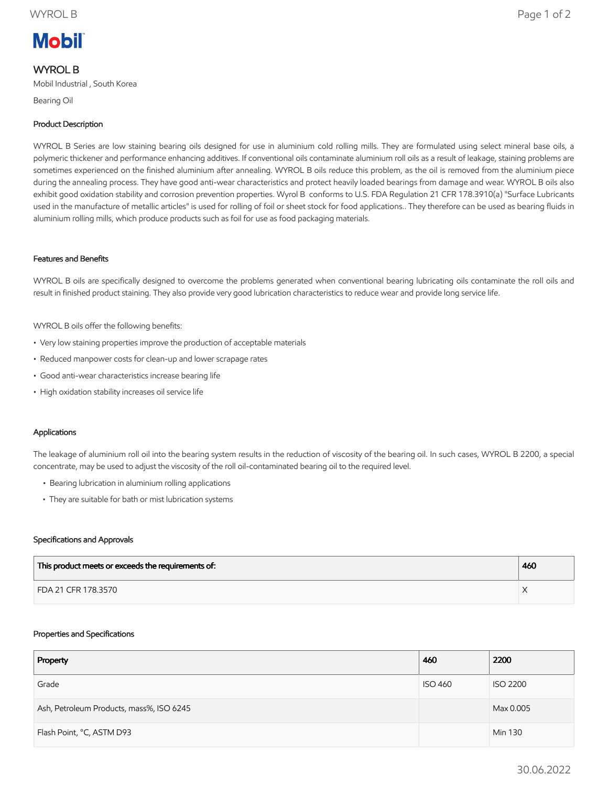# **Mobil**

# WYROL B

Mobil Industrial , South Korea

Bearing Oil

# Product Description

WYROL B Series are low staining bearing oils designed for use in aluminium cold rolling mills. They are formulated using select mineral base oils, a polymeric thickener and performance enhancing additives. If conventional oils contaminate aluminium roll oils as a result of leakage, staining problems are sometimes experienced on the finished aluminium after annealing. WYROL B oils reduce this problem, as the oil is removed from the aluminium piece during the annealing process. They have good anti-wear characteristics and protect heavily loaded bearings from damage and wear. WYROL B oils also exhibit good oxidation stability and corrosion prevention properties. Wyrol B conforms to U.S. FDA Regulation 21 CFR 178.3910(a) "Surface Lubricants used in the manufacture of metallic articles" is used for rolling of foil or sheet stock for food applications.. They therefore can be used as bearing fluids in aluminium rolling mills, which produce products such as foil for use as food packaging materials.

#### Features and Benefits

WYROL B oils are specifically designed to overcome the problems generated when conventional bearing lubricating oils contaminate the roll oils and result in finished product staining. They also provide very good lubrication characteristics to reduce wear and provide long service life.

WYROL B oils offer the following benefits:

- Very low staining properties improve the production of acceptable materials
- Reduced manpower costs for clean-up and lower scrapage rates
- Good anti-wear characteristics increase bearing life
- High oxidation stability increases oil service life

### Applications

The leakage of aluminium roll oil into the bearing system results in the reduction of viscosity of the bearing oil. In such cases, WYROL B 2200, a special concentrate, may be used to adjust the viscosity of the roll oil-contaminated bearing oil to the required level.

- Bearing lubrication in aluminium rolling applications
- They are suitable for bath or mist lubrication systems

#### Specifications and Approvals

| This product meets or exceeds the requirements of: | 460 |
|----------------------------------------------------|-----|
| FDA 21 CFR 178.3570                                |     |

#### Properties and Specifications

| Property                                 | 460            | 2200            |
|------------------------------------------|----------------|-----------------|
| Grade                                    | <b>ISO 460</b> | <b>ISO 2200</b> |
| Ash, Petroleum Products, mass%, ISO 6245 |                | Max 0.005       |
| Flash Point, °C, ASTM D93                |                | Min 130         |